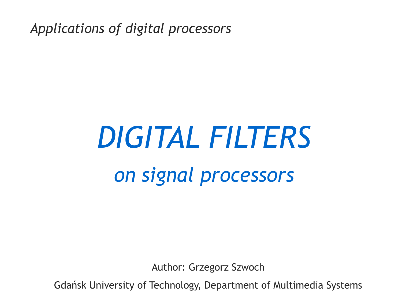*Applications of digital processors*

# *DIGITAL FILTERS on signal processors*

Author: Grzegorz Szwoch

Gdańsk University of Technology, Department of Multimedia Systems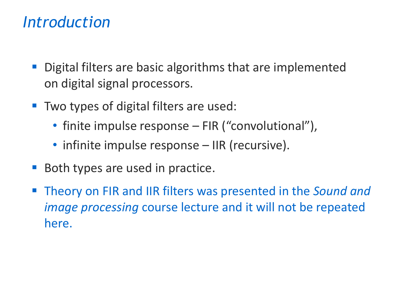#### *Introduction*

- Digital filters are basic algorithms that are implemented on digital signal processors.
- Two types of digital filters are used:
	- finite impulse response FIR ("convolutional"),
	- infinite impulse response IIR (recursive).
- Both types are used in practice.
- **Theory on FIR and IIR filters was presented in the Sound and** *image processing* course lecture and it will not be repeated here.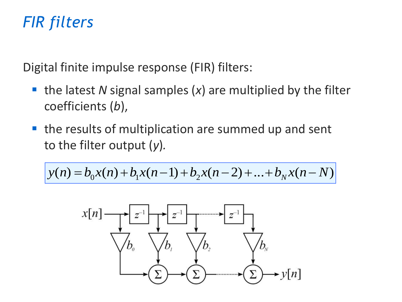## *FIR filters*

Digital finite impulse response (FIR) filters:

- the latest *N* signal samples (*x*) are multiplied by the filter coefficients (*b*),
- the results of multiplication are summed up and sent to the filter output (*y*)*.*

$$
y(n) = b_0 x(n) + b_1 x(n-1) + b_2 x(n-2) + \dots + b_N x(n-N)
$$

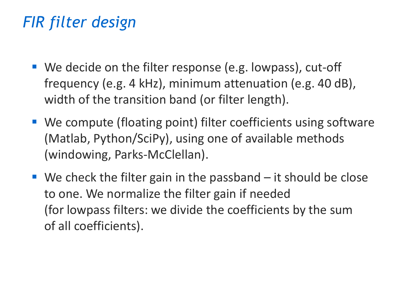# *FIR filter design*

- We decide on the filter response (e.g. lowpass), cut-off frequency (e.g. 4 kHz), minimum attenuation (e.g. 40 dB), width of the transition band (or filter length).
- We compute (floating point) filter coefficients using software (Matlab, Python/SciPy), using one of available methods (windowing, Parks-McClellan).
- $\blacksquare$  We check the filter gain in the passband  $-$  it should be close to one. We normalize the filter gain if needed (for lowpass filters: we divide the coefficients by the sum of all coefficients).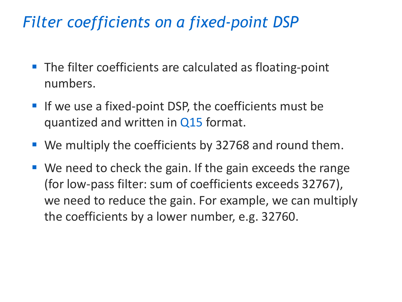## *Filter coefficients on a fixed-point DSP*

- The filter coefficients are calculated as floating-point numbers.
- If we use a fixed-point DSP, the coefficients must be quantized and written in Q15 format.
- We multiply the coefficients by 32768 and round them.
- We need to check the gain. If the gain exceeds the range (for low-pass filter: sum of coefficients exceeds 32767), we need to reduce the gain. For example, we can multiply the coefficients by a lower number, e.g. 32760.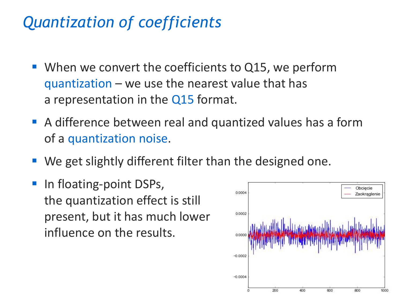## *Quantization of coefficients*

- When we convert the coefficients to Q15, we perform quantization – we use the nearest value that has a representation in the Q15 format.
- A difference between real and quantized values has a form of a quantization noise.
- We get slightly different filter than the designed one.
- In floating-point DSPs, the quantization effect is still present, but it has much lower influence on the results.

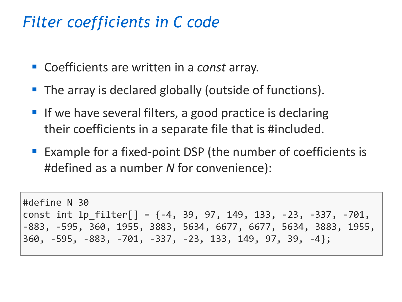#### *Filter coefficients in C code*

- Coefficients are written in a *const* array.
- The array is declared globally (outside of functions).
- If we have several filters, a good practice is declaring their coefficients in a separate file that is #included.
- Example for a fixed-point DSP (the number of coefficients is #defined as a number *N* for convenience):

```
#define N 30
const int lp_filter[] = {-4, 39, 97, 149, 133, -23, -337, -701, 
-883, -595, 360, 1955, 3883, 5634, 6677, 6677, 5634, 3883, 1955, 
360, -595, -883, -701, -337, -23, 133, 149, 97, 39, -4};
```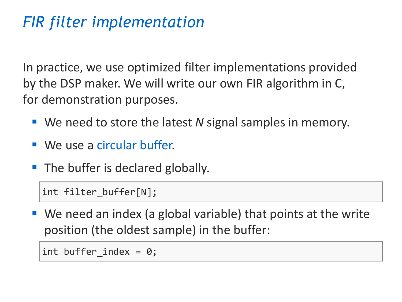# *FIR filter implementation*

In practice, we use optimized filter implementations provided by the DSP maker. We will write our own FIR algorithm in C, for demonstration purposes.

- We need to store the latest *N* signal samples in memory.
- We use a circular buffer.
- The buffer is declared globally.

int filter\_buffer[N];

 $\blacksquare$  We need an index (a global variable) that points at the write position (the oldest sample) in the buffer:

```
int buffer index = 0;
```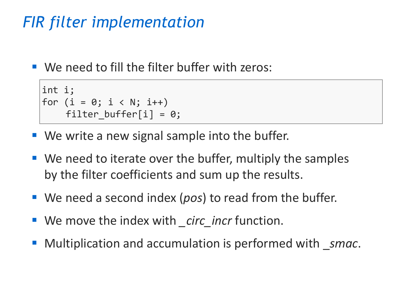# *FIR filter implementation*

 $\blacksquare$  We need to fill the filter buffer with zeros:

```
int i;
for (i = 0; i < N; i++)filter_buffer[i] = 0;
```
- $\blacksquare$  We write a new signal sample into the buffer.
- We need to iterate over the buffer, multiply the samples by the filter coefficients and sum up the results.
- We need a second index (*pos*) to read from the buffer.
- We move the index with *\_circ\_incr* function.
- Multiplication and accumulation is performed with *smac*.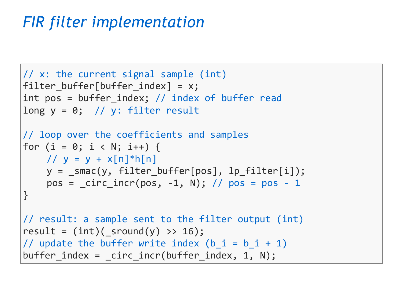# *FIR filter implementation*

```
// x: the current signal sample (int)
filter buffer[buffer index] = x;
int pos = buffer index; // index of buffer read
long y = 0; // y: filter result
// loop over the coefficients and samples
for (i = 0; i < N; i++) {
    1/ y = y + x[n]^*h[n]y = _smac(y, filter_buffer[pos], lp_filter[i]);
    pos = circ incr(pos, -1, N); // pos = pos - 1
}
// result: a sample sent to the filter output (int)
result = (int) (sround(y) >> 16);
// update the buffer write index (b i = b i + 1)
buffer index = circ incr(buffer index, 1, N);
```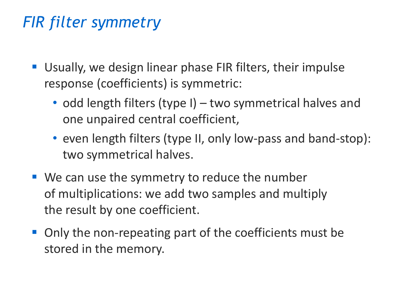# *FIR filter symmetry*

- Usually, we design linear phase FIR filters, their impulse response (coefficients) is symmetric:
	- odd length filters (type I) two symmetrical halves and one unpaired central coefficient,
	- even length filters (type II, only low-pass and band-stop): two symmetrical halves.
- We can use the symmetry to reduce the number of multiplications: we add two samples and multiply the result by one coefficient.
- Only the non-repeating part of the coefficients must be stored in the memory.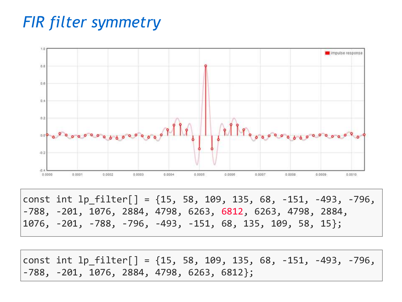## *FIR filter symmetry*



const int lp\_filter[] = {15, 58, 109, 135, 68, -151, -493, -796, -788, -201, 1076, 2884, 4798, 6263, 6812, 6263, 4798, 2884, 1076, -201, -788, -796, -493, -151, 68, 135, 109, 58, 15};

const int  $lp$  filter[] =  $\{15, 58, 109, 135, 68, -151, -493, -796,$ -788, -201, 1076, 2884, 4798, 6263, 6812};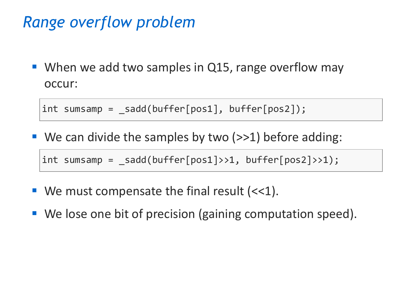### *Range overflow problem*

■ When we add two samples in Q15, range overflow may occur:

int sumsamp =  $_s$  sadd(buffer[pos1], buffer[pos2]);

■ We can divide the samples by two (>>1) before adding:

 $int sumamp = sadd(buffer[pos1]>>1, buffer[pos2]>>1);$ 

- **U** We must compensate the final result  $(\ll 1)$ .
- We lose one bit of precision (gaining computation speed).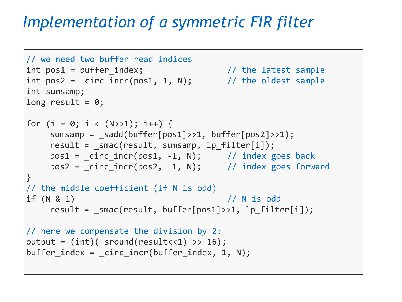## *Implementation of a symmetric FIR filter*

```
// we need two buffer read indices
int pos1 = buffer_index; // the latest sample
int pos2 = _{circ} incr(pos1, 1, N); // the oldest sample
int sumsamp;
long result = 0;
for (i = 0; i < (N>>1); i++) {
    sumsamp = _sadd(buffer[pos1]>>1, buffer[pos2]>>1);
    result = _smac(result, sumsamp, lp_filter[i]);
    pos1 = _circ\_incr(pos1, -1, N); // index goes back
    pos2 = \text{circ\_incr}(pos2, 1, N); // index goes forward
}
// the middle coefficient (if N is odd)
if (N & 1) // N is odd
    result = smac(result, buffer[pos1]>>1, lp filter[i]);// here we compensate the division by 2:
output = (int)(_sround(result<<1) >> 16);buffer index = circ incr(buffer index, 1, N);
```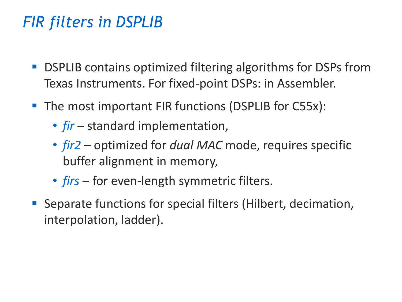- **DSPLIB contains optimized filtering algorithms for DSPs from** Texas Instruments. For fixed-point DSPs: in Assembler.
- The most important FIR functions (DSPLIB for C55x):
	- *fir* standard implementation,
	- *fir2* optimized for *dual MAC* mode, requires specific buffer alignment in memory,
	- *firs* for even-length symmetric filters.
- Separate functions for special filters (Hilbert, decimation, interpolation, ladder).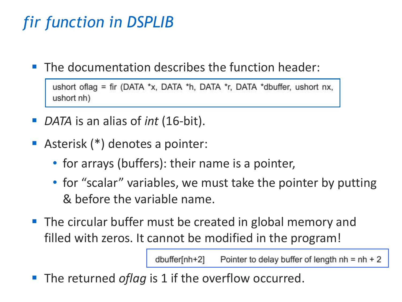# *fir function in DSPLIB*

 $\blacksquare$  The documentation describes the function header:

```
ushort of lag = fir (DATA *x, DATA *h, DATA *r, DATA *dbuffer, ushort nx,
ushort nh)
```
- *DATA* is an alias of *int* (16-bit).
- Asterisk (\*) denotes a pointer:
	- for arrays (buffers): their name is a pointer,
	- for "scalar" variables, we must take the pointer by putting & before the variable name.
- The circular buffer must be created in global memory and filled with zeros. It cannot be modified in the program!

dbuffer[nh+2] Pointer to delay buffer of length  $nh = nh + 2$ 

■ The returned *oflag* is 1 if the overflow occurred.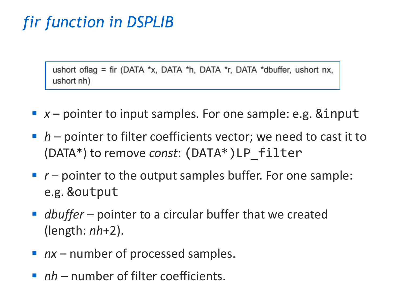# *fir function in DSPLIB*

ushort oflag = fir (DATA \*x, DATA \*h, DATA \*r, DATA \*dbuffer, ushort nx, ushort nh)

- $\bullet$   $x$  pointer to input samples. For one sample: e.g. &input
- *h* pointer to filter coefficients vector; we need to cast it to (DATA\*) to remove *const*: (DATA\*)LP\_filter
- *r* pointer to the output samples buffer. For one sample: e.g. &output
- *dbuffer* pointer to a circular buffer that we created (length: *nh*+2).
- *nx* number of processed samples.
- *nh* number of filter coefficients.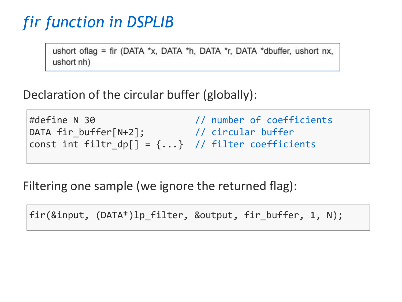# *fir function in DSPLIB*

ushort of lag = fir (DATA \*x, DATA \*h, DATA \*r, DATA \*dbuffer, ushort nx, ushort nh)

Declaration of the circular buffer (globally):

#define N 30 // number of coefficients DATA fir\_buffer[N+2]; // circular buffer const int filtr\_dp[] =  $\{ \ldots \}$  // filter coefficients

Filtering one sample (we ignore the returned flag):

fir(&input, (DATA\*)lp\_filter, &output, fir\_buffer, 1, N);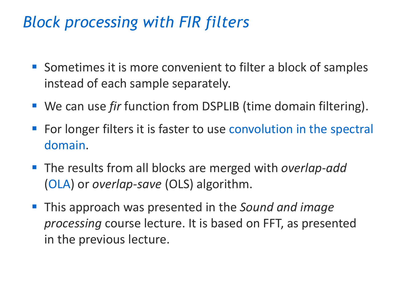# *Block processing with FIR filters*

- Sometimes it is more convenient to filter a block of samples instead of each sample separately.
- We can use *fir* function from DSPLIB (time domain filtering).
- For longer filters it is faster to use convolution in the spectral domain.
- The results from all blocks are merged with *overlap-add* (OLA) or *overlap-save* (OLS) algorithm.
- This approach was presented in the *Sound and image processing* course lecture. It is based on FFT, as presented in the previous lecture.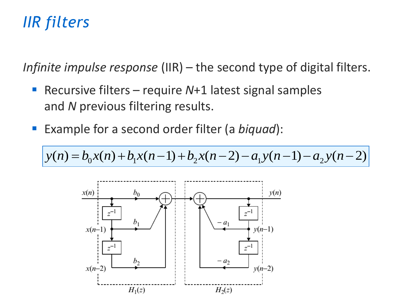# *IIR filters*

*Infinite impulse response* (IIR) – the second type of digital filters.

- Recursive filters require N+1 latest signal samples and *N* previous filtering results.
- Example for a second order filter (a *biquad*):

$$
y(n) = b_0 x(n) + b_1 x(n-1) + b_2 x(n-2) - a_1 y(n-1) - a_2 y(n-2)
$$

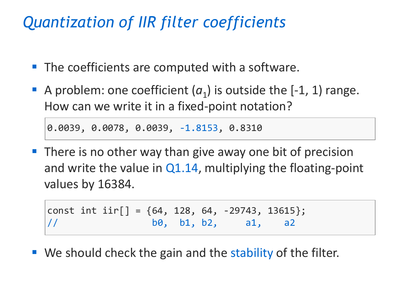## *Quantization of IIR filter coefficients*

- The coefficients are computed with a software.
- A problem: one coefficient  $(a_1)$  is outside the  $[-1, 1)$  range. How can we write it in a fixed-point notation?

0.0039, 0.0078, 0.0039, -1.8153, 0.8310

**There is no other way than give away one bit of precision** and write the value in  $Q1.14$ , multiplying the floating-point values by 16384.

const int  $\text{iir}[\ ] = \{64, 128, 64, -29743, 13615\};$  $1/$  b0, b1, b2, a1, a2

■ We should check the gain and the stability of the filter.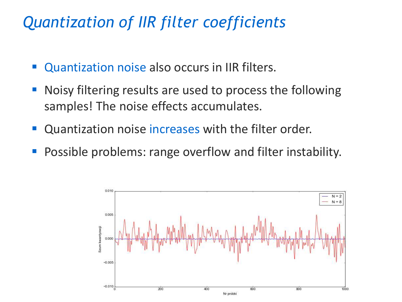## *Quantization of IIR filter coefficients*

- Quantization noise also occurs in IIR filters.
- Noisy filtering results are used to process the following samples! The noise effects accumulates.
- Quantization noise increases with the filter order.
- Possible problems: range overflow and filter instability.

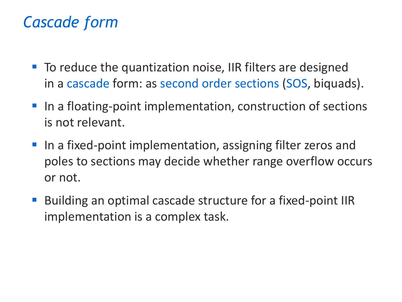## *Cascade form*

- To reduce the quantization noise, IIR filters are designed in a cascade form: as second order sections (SOS, biquads).
- In a floating-point implementation, construction of sections is not relevant.
- In a fixed-point implementation, assigning filter zeros and poles to sections may decide whether range overflow occurs or not.
- Building an optimal cascade structure for a fixed-point IIR implementation is a complex task.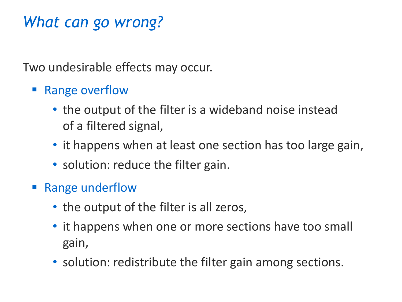## *What can go wrong?*

Two undesirable effects may occur.

- **Range overflow** 
	- the output of the filter is a wideband noise instead of a filtered signal,
	- it happens when at least one section has too large gain,
	- solution: reduce the filter gain.
- Range underflow
	- the output of the filter is all zeros,
	- it happens when one or more sections have too small gain,
	- solution: redistribute the filter gain among sections.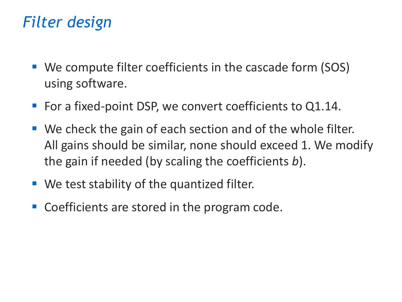# *Filter design*

- We compute filter coefficients in the cascade form (SOS) using software.
- For a fixed-point DSP, we convert coefficients to Q1.14.
- We check the gain of each section and of the whole filter. All gains should be similar, none should exceed 1. We modify the gain if needed (by scaling the coefficients *b*).
- We test stability of the quantized filter.
- Coefficients are stored in the program code.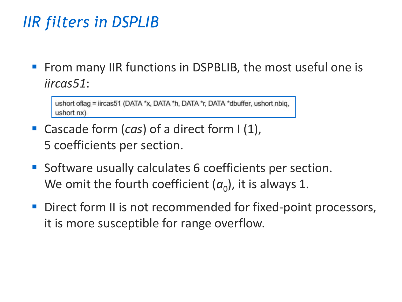▪ From many IIR functions in DSPBLIB, the most useful one is *iircas51*:

ushort oflag = iircas51 (DATA \*x, DATA \*h, DATA \*r, DATA \*dbuffer, ushort nbig, ushort nx)

- Cascade form (*cas*) of a direct form I (1), 5 coefficients per section.
- Software usually calculates 6 coefficients per section. We omit the fourth coefficient  $(a_0)$ , it is always 1.
- Direct form II is not recommended for fixed-point processors, it is more susceptible for range overflow.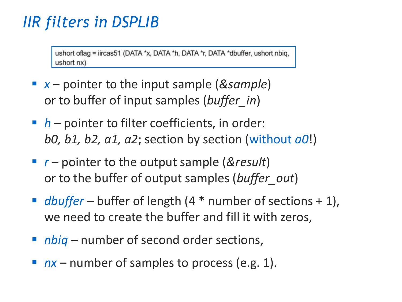ushort oflag = iircas51 (DATA \*x, DATA \*h, DATA \*r, DATA \*dbuffer, ushort nbig, ushort nx)

- *x* pointer to the input sample (*&sample*) or to buffer of input samples (*buffer\_in*)
- *h* pointer to filter coefficients, in order: *b0, b1, b2, a1, a2*; section by section (without *a0*!)
- *r* pointer to the output sample (*&result*) or to the buffer of output samples (*buffer\_out*)
- *dbuffer* buffer of length (4 <sup>\*</sup> number of sections + 1), we need to create the buffer and fill it with zeros,
- *nbiq* number of second order sections,
- *nx* number of samples to process (e.g. 1).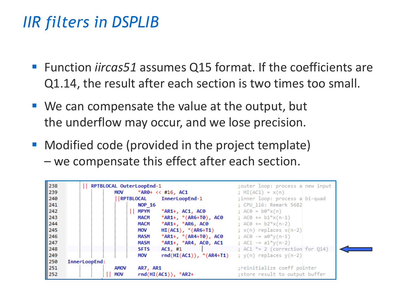- Function *iircas51* assumes Q15 format. If the coefficients are Q1.14, the result after each section is two times too small.
- $\blacksquare$  We can compensate the value at the output, but the underflow may occur, and we lose precision.
- Modified code (provided in the project template) – we compensate this effect after each section.

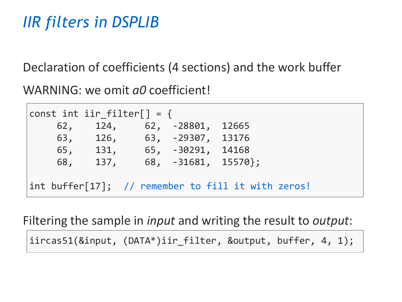Declaration of coefficients (4 sections) and the work buffer

WARNING: we omit *a0* coefficient!

|     | const int iir filter $\lceil \cdot \rceil = \{$ |                                                               |  |  |
|-----|-------------------------------------------------|---------------------------------------------------------------|--|--|
| 62, |                                                 | 124, 62, -28801, 12665                                        |  |  |
|     |                                                 | 63, 126, 63, -29307, 13176                                    |  |  |
| 65, | 131,                                            | 65, -30291, 14168                                             |  |  |
| 68, | 137,                                            | 68, $-31681$ , $15570$ ;                                      |  |  |
|     |                                                 |                                                               |  |  |
|     |                                                 | $\int$ int buffer $[17]$ ; // remember to fill it with zeros! |  |  |

Filtering the sample in *input* and writing the result to *output*:

iircas51(&input, (DATA\*)iir\_filter, &output, buffer, 4, 1);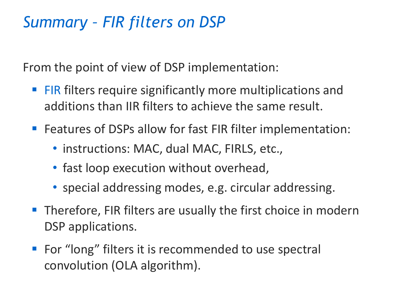## *Summary – FIR filters on DSP*

From the point of view of DSP implementation:

- **FIR filters require significantly more multiplications and** additions than IIR filters to achieve the same result.
- Features of DSPs allow for fast FIR filter implementation:
	- instructions: MAC, dual MAC, FIRLS, etc.,
	- fast loop execution without overhead,
	- special addressing modes, e.g. circular addressing.
- Therefore, FIR filters are usually the first choice in modern DSP applications.
- For "long" filters it is recommended to use spectral convolution (OLA algorithm).